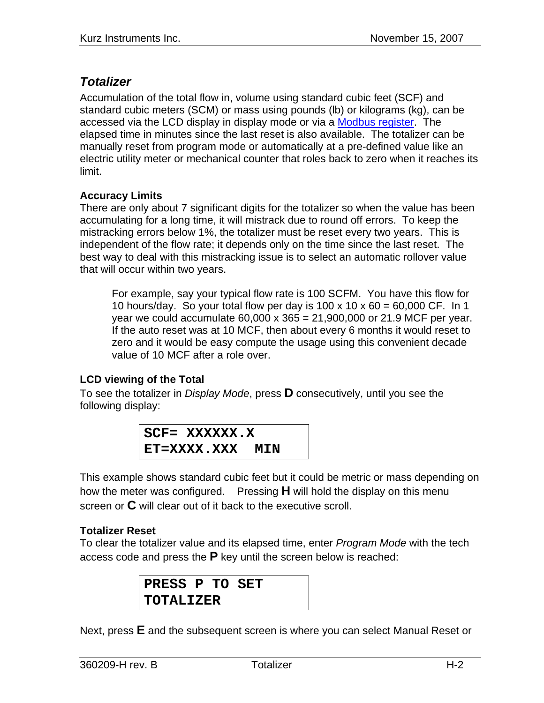## *Totalizer*

Accumulation of the total flow in, volume using standard cubic feet (SCF) and standard cubic meters (SCM) or mass using pounds (lb) or kilograms (kg), can be accessed via the LCD display in display mode or via a Modbus register. The elapsed time in minutes since the last reset is also available. The totalizer can be manually reset from program mode or automatically at a pre-defined value like an electric utility meter or mechanical counter that roles back to zero when it reaches its limit.

## **Accuracy Limits**

There are only about 7 significant digits for the totalizer so when the value has been accumulating for a long time, it will mistrack due to round off errors. To keep the mistracking errors below 1%, the totalizer must be reset every two years. This is independent of the flow rate; it depends only on the time since the last reset. The best way to deal with this mistracking issue is to select an automatic rollover value that will occur within two years.

For example, say your typical flow rate is 100 SCFM. You have this flow for 10 hours/day. So your total flow per day is 100 x 10 x 60 = 60,000 CF. In 1 year we could accumulate 60,000 x 365 = 21,900,000 or 21.9 MCF per year. If the auto reset was at 10 MCF, then about every 6 months it would reset to zero and it would be easy compute the usage using this convenient decade value of 10 MCF after a role over.

## **LCD viewing of the Total**

To see the totalizer in *Display Mode*, press **D** consecutively, until you see the following display:

$$
SCF = XXXXXX . XET = XXXX . XXX MIN
$$

This example shows standard cubic feet but it could be metric or mass depending on how the meter was configured. Pressing **H** will hold the display on this menu screen or **C** will clear out of it back to the executive scroll.

## **Totalizer Reset**

To clear the totalizer value and its elapsed time, enter *Program Mode* with the tech access code and press the **P** key until the screen below is reached:

> **PRESS P TO SET TOTALIZER**

Next, press **E** and the subsequent screen is where you can select Manual Reset or